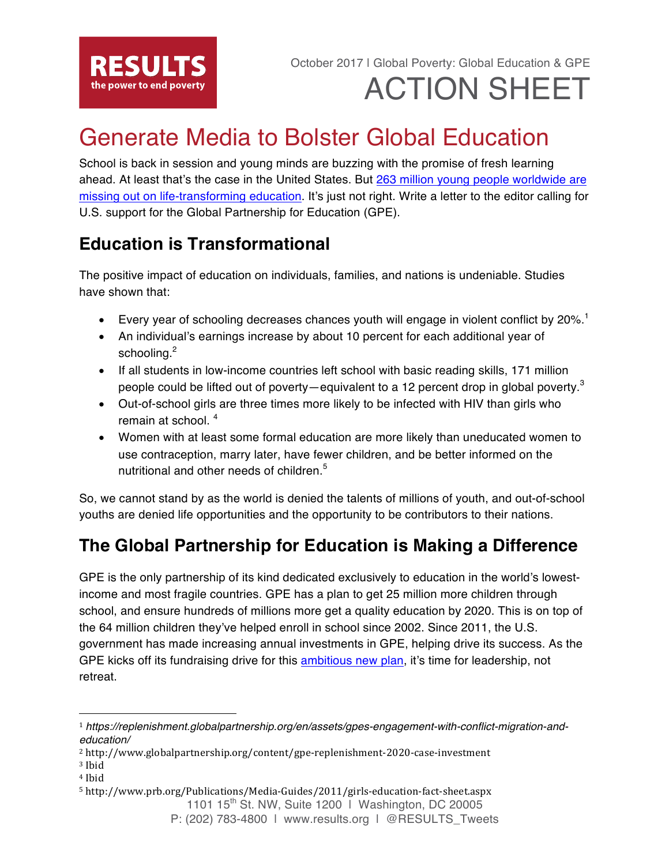

# ACTION SHEET

## Generate Media to Bolster Global Education

School is back in session and young minds are buzzing with the promise of fresh learning ahead. At least that's the case in the United States. But 263 million young people worldwide are missing out on life-transforming education. It's just not right. Write a letter to the editor calling for U.S. support for the Global Partnership for Education (GPE).

### **Education is Transformational**

The positive impact of education on individuals, families, and nations is undeniable. Studies have shown that:

- Every year of schooling decreases chances youth will engage in violent conflict by  $20\%$ .<sup>1</sup>
- An individual's earnings increase by about 10 percent for each additional year of schooling.<sup>2</sup>
- If all students in low-income countries left school with basic reading skills, 171 million people could be lifted out of poverty—equivalent to a 12 percent drop in global poverty.<sup>3</sup>
- Out-of-school girls are three times more likely to be infected with HIV than girls who remain at school. <sup>4</sup>
- Women with at least some formal education are more likely than uneducated women to use contraception, marry later, have fewer children, and be better informed on the nutritional and other needs of children.<sup>5</sup>

So, we cannot stand by as the world is denied the talents of millions of youth, and out-of-school youths are denied life opportunities and the opportunity to be contributors to their nations.

### **The Global Partnership for Education is Making a Difference**

GPE is the only partnership of its kind dedicated exclusively to education in the world's lowestincome and most fragile countries. GPE has a plan to get 25 million more children through school, and ensure hundreds of millions more get a quality education by 2020. This is on top of the 64 million children they've helped enroll in school since 2002. Since 2011, the U.S. government has made increasing annual investments in GPE, helping drive its success. As the GPE kicks off its fundraising drive for this ambitious new plan, it's time for leadership, not retreat.

<sup>3</sup> Ibid

 

<sup>1</sup> *https://replenishment.globalpartnership.org/en/assets/gpes-engagement-with-conflict-migration-andeducation/*

<sup>2</sup> http://www.globalpartnership.org/content/gpe-replenishment-2020-case-investment

<sup>4</sup> Ibid

<sup>5</sup> http://www.prb.org/Publications/Media-Guides/2011/girls-education-fact-sheet.aspx

<sup>1101</sup>  $15^{th}$  St. NW, Suite 1200 | Washington, DC 20005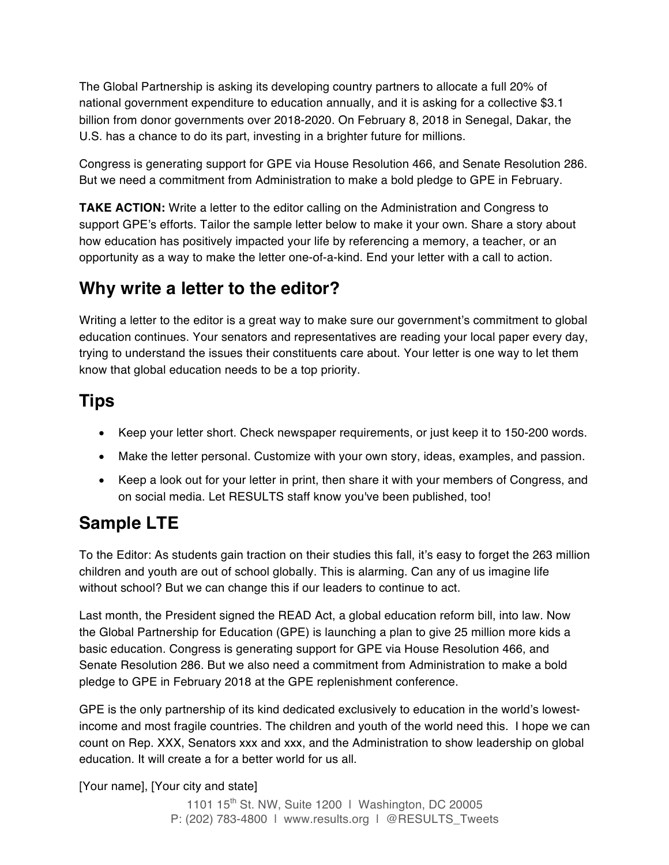The Global Partnership is asking its developing country partners to allocate a full 20% of national government expenditure to education annually, and it is asking for a collective \$3.1 billion from donor governments over 2018-2020. On February 8, 2018 in Senegal, Dakar, the U.S. has a chance to do its part, investing in a brighter future for millions.

Congress is generating support for GPE via House Resolution 466, and Senate Resolution 286. But we need a commitment from Administration to make a bold pledge to GPE in February.

**TAKE ACTION:** Write a letter to the editor calling on the Administration and Congress to support GPE's efforts. Tailor the sample letter below to make it your own. Share a story about how education has positively impacted your life by referencing a memory, a teacher, or an opportunity as a way to make the letter one-of-a-kind. End your letter with a call to action.

### **Why write a letter to the editor?**

Writing a letter to the editor is a great way to make sure our government's commitment to global education continues. Your senators and representatives are reading your local paper every day, trying to understand the issues their constituents care about. Your letter is one way to let them know that global education needs to be a top priority.

### **Tips**

- Keep your letter short. Check newspaper requirements, or just keep it to 150-200 words.
- Make the letter personal. Customize with your own story, ideas, examples, and passion.
- Keep a look out for your letter in print, then share it with your members of Congress, and on social media. Let RESULTS staff know you've been published, too!

### **Sample LTE**

To the Editor: As students gain traction on their studies this fall, it's easy to forget the 263 million children and youth are out of school globally. This is alarming. Can any of us imagine life without school? But we can change this if our leaders to continue to act.

Last month, the President signed the READ Act, a global education reform bill, into law. Now the Global Partnership for Education (GPE) is launching a plan to give 25 million more kids a basic education. Congress is generating support for GPE via House Resolution 466, and Senate Resolution 286. But we also need a commitment from Administration to make a bold pledge to GPE in February 2018 at the GPE replenishment conference.

GPE is the only partnership of its kind dedicated exclusively to education in the world's lowestincome and most fragile countries. The children and youth of the world need this. I hope we can count on Rep. XXX, Senators xxx and xxx, and the Administration to show leadership on global education. It will create a for a better world for us all.

[Your name], [Your city and state]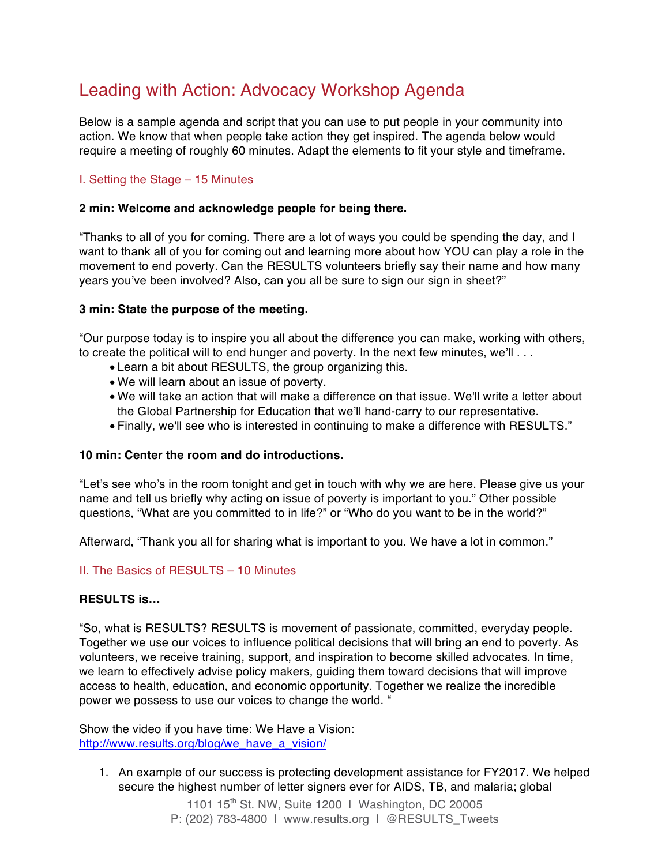### Leading with Action: Advocacy Workshop Agenda

Below is a sample agenda and script that you can use to put people in your community into action. We know that when people take action they get inspired. The agenda below would require a meeting of roughly 60 minutes. Adapt the elements to fit your style and timeframe.

#### I. Setting the Stage – 15 Minutes

#### **2 min: Welcome and acknowledge people for being there.**

"Thanks to all of you for coming. There are a lot of ways you could be spending the day, and I want to thank all of you for coming out and learning more about how YOU can play a role in the movement to end poverty. Can the RESULTS volunteers briefly say their name and how many years you've been involved? Also, can you all be sure to sign our sign in sheet?"

#### **3 min: State the purpose of the meeting.**

"Our purpose today is to inspire you all about the difference you can make, working with others, to create the political will to end hunger and poverty. In the next few minutes, we'll . . .

- Learn a bit about RESULTS, the group organizing this.
- We will learn about an issue of poverty.
- We will take an action that will make a difference on that issue. We'll write a letter about the Global Partnership for Education that we'll hand-carry to our representative.
- Finally, we'll see who is interested in continuing to make a difference with RESULTS."

#### **10 min: Center the room and do introductions.**

"Let's see who's in the room tonight and get in touch with why we are here. Please give us your name and tell us briefly why acting on issue of poverty is important to you." Other possible questions, "What are you committed to in life?" or "Who do you want to be in the world?"

Afterward, "Thank you all for sharing what is important to you. We have a lot in common."

#### II. The Basics of RESULTS – 10 Minutes

#### **RESULTS is…**

"So, what is RESULTS? RESULTS is movement of passionate, committed, everyday people. Together we use our voices to influence political decisions that will bring an end to poverty. As volunteers, we receive training, support, and inspiration to become skilled advocates. In time, we learn to effectively advise policy makers, guiding them toward decisions that will improve access to health, education, and economic opportunity. Together we realize the incredible power we possess to use our voices to change the world. "

Show the video if you have time: We Have a Vision: http://www.results.org/blog/we\_have\_a\_vision/

1. An example of our success is protecting development assistance for FY2017. We helped secure the highest number of letter signers ever for AIDS, TB, and malaria; global